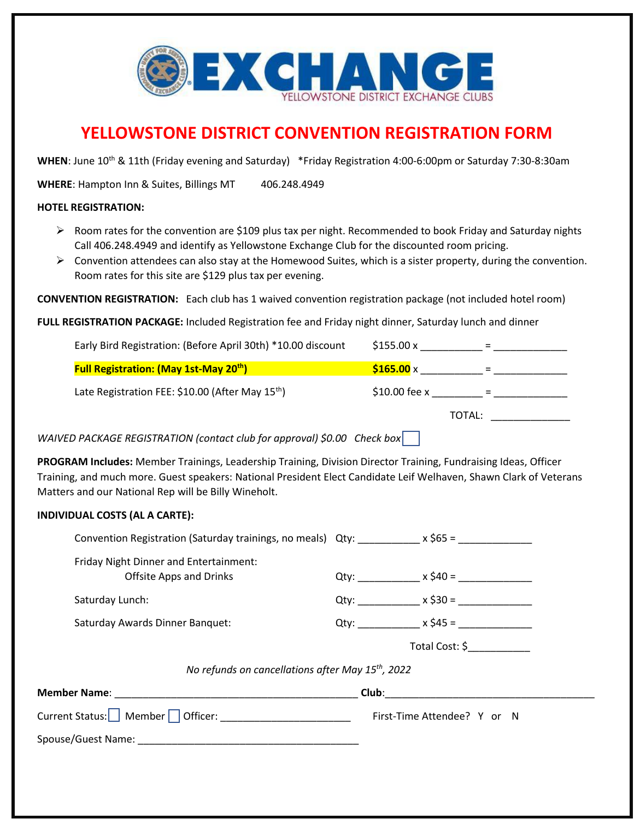

## **YELLOWSTONE DISTRICT CONVENTION REGISTRATION FORM**

WHEN: June 10<sup>th</sup> & 11th (Friday evening and Saturday) \*Friday Registration 4:00-6:00pm or Saturday 7:30-8:30am

WHERE: Hampton Inn & Suites, Billings MT 406.248.4949

## **HOTEL REGISTRATION:**

- $\triangleright$  Room rates for the convention are \$109 plus tax per night. Recommended to book Friday and Saturday nights Call 406.248.4949 and identify as Yellowstone Exchange Club for the discounted room pricing.
- $\triangleright$  Convention attendees can also stay at the Homewood Suites, which is a sister property, during the convention. Room rates for this site are \$129 plus tax per evening.

**CONVENTION REGISTRATION:** Each club has 1 waived convention registration package (not included hotel room)

**FULL REGISTRATION PACKAGE:** Included Registration fee and Friday night dinner, Saturday lunch and dinner

| Early Bird Registration: (Before April 30th) *10.00 discount | \$155.00 x              |
|--------------------------------------------------------------|-------------------------|
| <b>Full Registration: (May 1st-May 20<sup>th</sup>)</b>      | $$165.00 \times$<br>$=$ |
| Late Registration FEE: \$10.00 (After May 15 <sup>th</sup> ) | $$10.00$ fee x          |
|                                                              | TOTAL:                  |

*WAIVED PACKAGE REGISTRATION (contact club for approval) \$0.00 Check box* 

**PROGRAM Includes:** Member Trainings, Leadership Training, Division Director Training, Fundraising Ideas, Officer Training, and much more. Guest speakers: National President Elect Candidate Leif Welhaven, Shawn Clark of Veterans Matters and our National Rep will be Billy Wineholt.

## **INDIVIDUAL COSTS (AL A CARTE):**

| Convention Registration (Saturday trainings, no meals) Qty: ___________x \$65 = _____________ |  |                                                  |
|-----------------------------------------------------------------------------------------------|--|--------------------------------------------------|
| Friday Night Dinner and Entertainment:<br><b>Offsite Apps and Drinks</b>                      |  | Qty: ________________ x \$40 = _______________   |
| Saturday Lunch:                                                                               |  | Qty: $x \, \simeq \, 30 =$                       |
| Saturday Awards Dinner Banquet:                                                               |  |                                                  |
|                                                                                               |  | Total Cost: \$                                   |
| No refunds on cancellations after May 15 <sup>th</sup> , 2022                                 |  |                                                  |
|                                                                                               |  | <u> Club: __________________________________</u> |
|                                                                                               |  |                                                  |
|                                                                                               |  |                                                  |